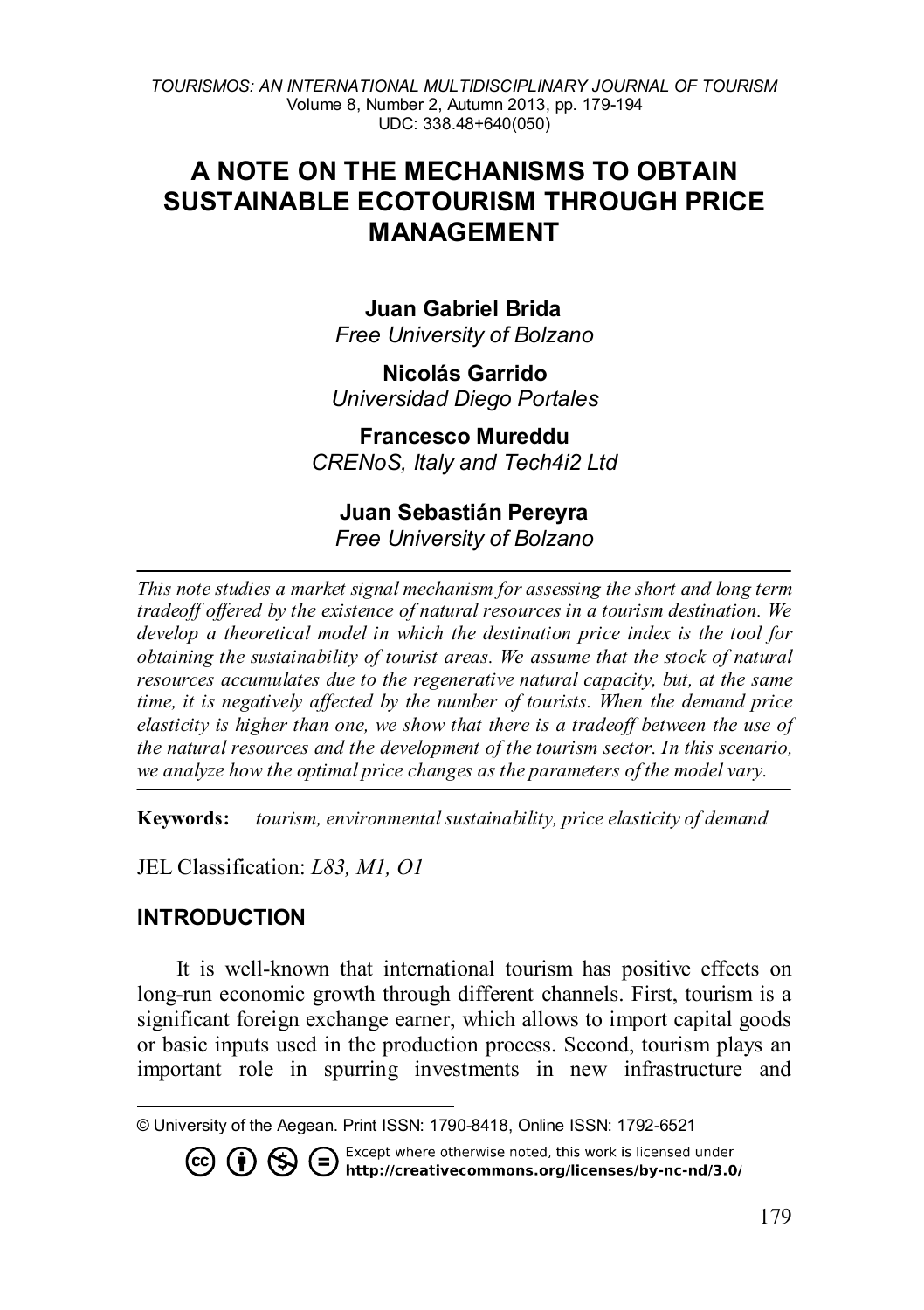# **A NOTE ON THE MECHANISMS TO OBTAIN SUSTAINABLE ECOTOURISM THROUGH PRICE MANAGEMENT**

**Juan Gabriel Brida[1](#page-0-0)** *Free University of Bolzano*

**Nicolás Garrido** *Universidad Diego Portales* 

**Francesco Mureddu** *CRENoS, Italy and Tech4i2 Ltd*

### **Juan Sebastián Pereyra**  *Free University of Bolzano*

*This note studies a market signal mechanism for assessing the short and long term tradeoff offered by the existence of natural resources in a tourism destination. We develop a theoretical model in which the destination price index is the tool for obtaining the sustainability of tourist areas. We assume that the stock of natural resources accumulates due to the regenerative natural capacity, but, at the same time, it is negatively affected by the number of tourists. When the demand price elasticity is higher than one, we show that there is a tradeoff between the use of the natural resources and the development of the tourism sector. In this scenario, we analyze how the optimal price changes as the parameters of the model vary.*

**Keywords:** *tourism, environmental sustainability, price elasticity of demand*

JEL Classification: *L83, M1, O1*

# **INTRODUCTION**

 $\overline{a}$ 

It is well-known that international tourism has positive effects on long-run economic growth through different channels. First, tourism is a significant foreign exchange earner, which allows to import capital goods or basic inputs used in the production process. Second, tourism plays an important role in spurring investments in new infrastructure and

<span id="page-0-0"></span><sup>©</sup> University of the Aegean. Print ISSN: 1790-8418, Online ISSN: 1792-6521

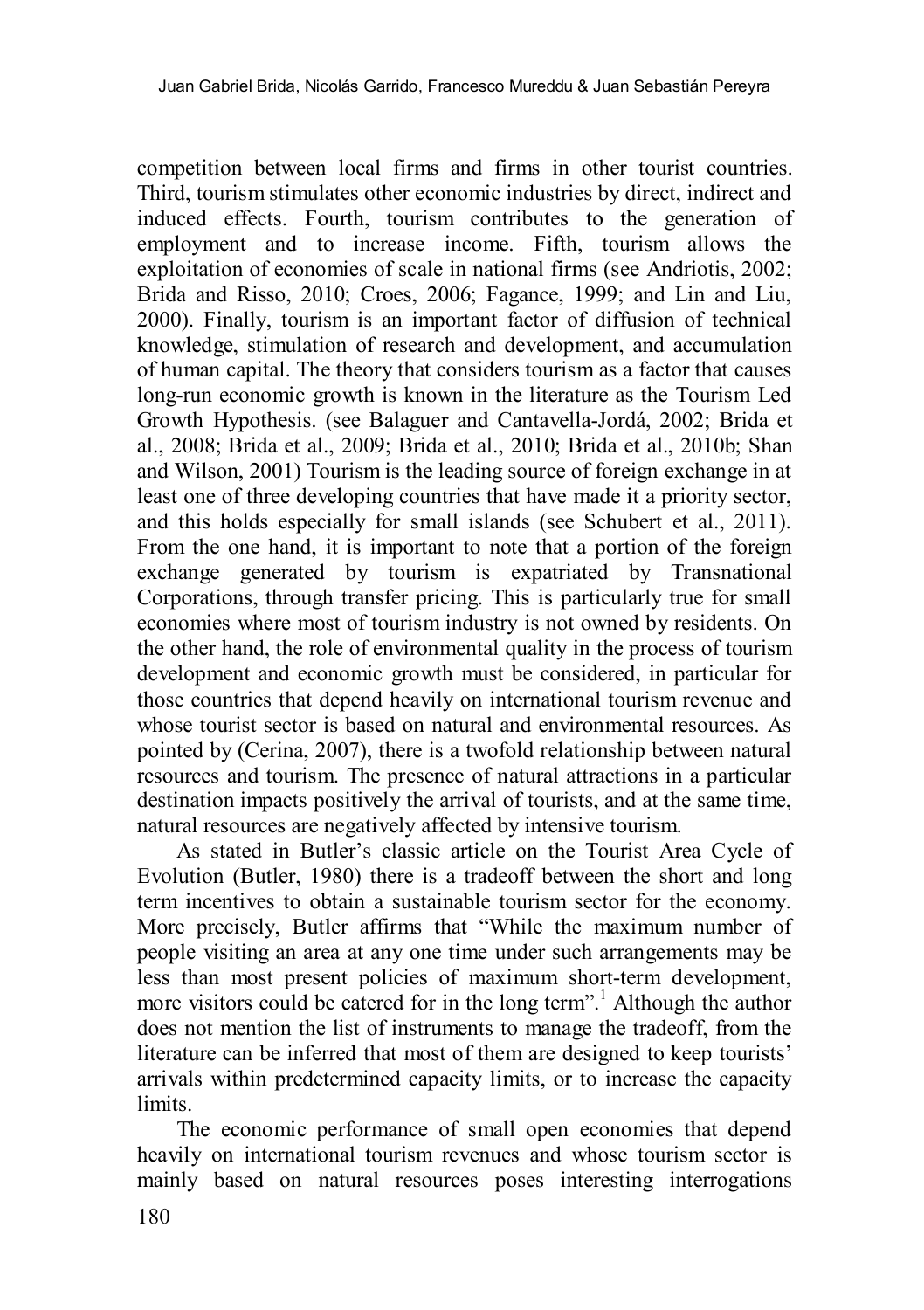competition between local firms and firms in other tourist countries. Third, tourism stimulates other economic industries by direct, indirect and induced effects. Fourth, tourism contributes to the generation of employment and to increase income. Fifth, tourism allows the exploitation of economies of scale in national firms (see Andriotis, 2002; Brida and Risso, 2010; Croes, 2006; Fagance, 1999; and Lin and Liu, 2000). Finally, tourism is an important factor of diffusion of technical knowledge, stimulation of research and development, and accumulation of human capital. The theory that considers tourism as a factor that causes long-run economic growth is known in the literature as the Tourism Led Growth Hypothesis. (see Balaguer and Cantavella-Jordá, 2002; Brida et al., 2008; Brida et al., 2009; Brida et al., 2010; Brida et al., 2010b; Shan and Wilson, 2001) Tourism is the leading source of foreign exchange in at least one of three developing countries that have made it a priority sector, and this holds especially for small islands (see Schubert et al., 2011). From the one hand, it is important to note that a portion of the foreign exchange generated by tourism is expatriated by Transnational Corporations, through transfer pricing. This is particularly true for small economies where most of tourism industry is not owned by residents. On the other hand, the role of environmental quality in the process of tourism development and economic growth must be considered, in particular for those countries that depend heavily on international tourism revenue and whose tourist sector is based on natural and environmental resources. As pointed by (Cerina, 2007), there is a twofold relationship between natural resources and tourism. The presence of natural attractions in a particular destination impacts positively the arrival of tourists, and at the same time, natural resources are negatively affected by intensive tourism.

As stated in Butler's classic article on the Tourist Area Cycle of Evolution (Butler, 1980) there is a tradeoff between the short and long term incentives to obtain a sustainable tourism sector for the economy. More precisely, Butler affirms that "While the maximum number of people visiting an area at any one time under such arrangements may be less than most present policies of maximum short-term development, more visitors could be catered for in the long term".<sup>1</sup> Although the author does not mention the list of instruments to manage the tradeoff, from the literature can be inferred that most of them are designed to keep tourists' arrivals within predetermined capacity limits, or to increase the capacity limits.

The economic performance of small open economies that depend heavily on international tourism revenues and whose tourism sector is mainly based on natural resources poses interesting interrogations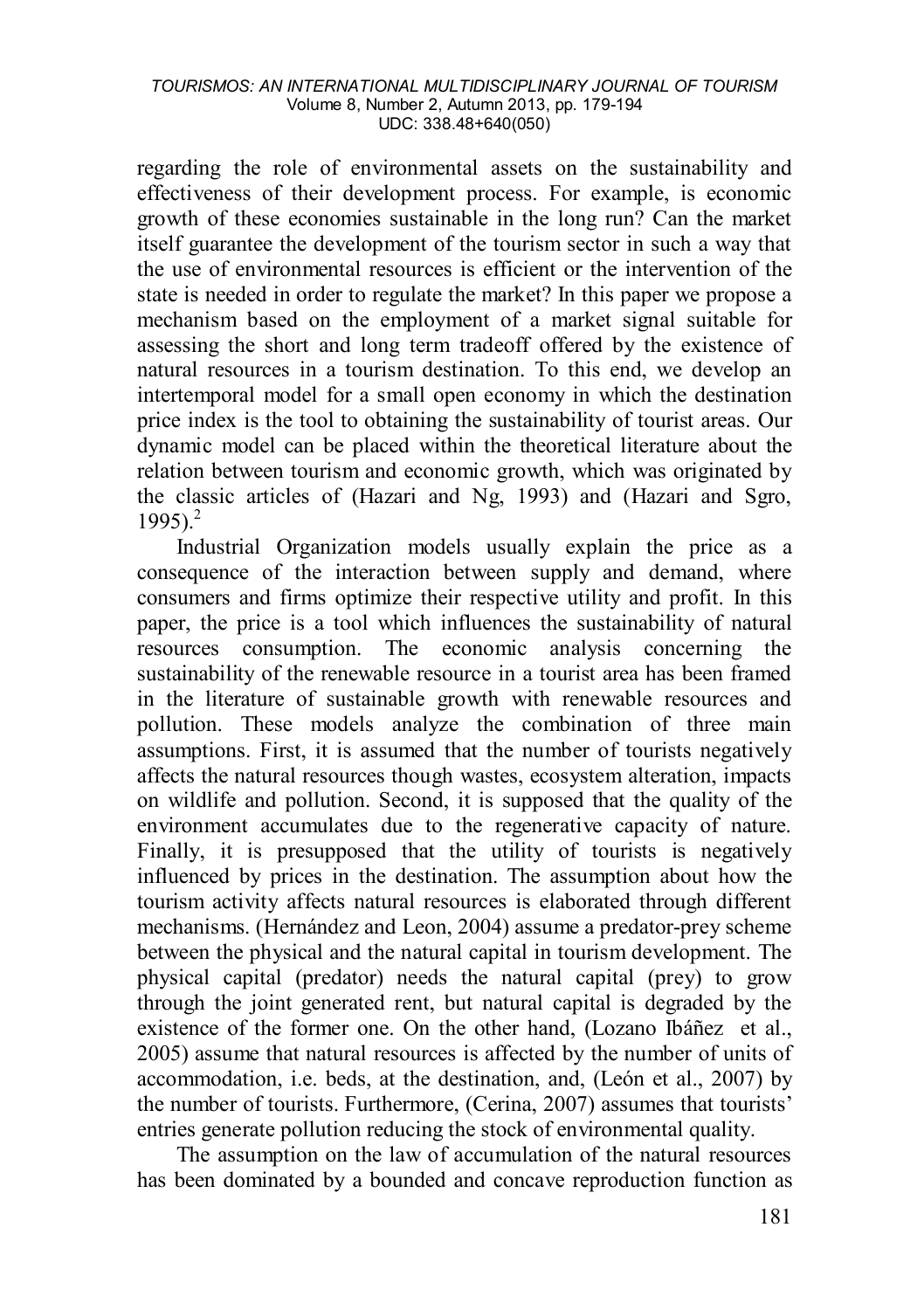regarding the role of environmental assets on the sustainability and effectiveness of their development process. For example, is economic growth of these economies sustainable in the long run? Can the market itself guarantee the development of the tourism sector in such a way that the use of environmental resources is efficient or the intervention of the state is needed in order to regulate the market? In this paper we propose a mechanism based on the employment of a market signal suitable for assessing the short and long term tradeoff offered by the existence of natural resources in a tourism destination. To this end, we develop an intertemporal model for a small open economy in which the destination price index is the tool to obtaining the sustainability of tourist areas. Our dynamic model can be placed within the theoretical literature about the relation between tourism and economic growth, which was originated by the classic articles of (Hazari and Ng, 1993) and (Hazari and Sgro,  $1995$ <sup>2</sup>

Industrial Organization models usually explain the price as a consequence of the interaction between supply and demand, where consumers and firms optimize their respective utility and profit. In this paper, the price is a tool which influences the sustainability of natural resources consumption. The economic analysis concerning the sustainability of the renewable resource in a tourist area has been framed in the literature of sustainable growth with renewable resources and pollution. These models analyze the combination of three main assumptions. First, it is assumed that the number of tourists negatively affects the natural resources though wastes, ecosystem alteration, impacts on wildlife and pollution. Second, it is supposed that the quality of the environment accumulates due to the regenerative capacity of nature. Finally, it is presupposed that the utility of tourists is negatively influenced by prices in the destination. The assumption about how the tourism activity affects natural resources is elaborated through different mechanisms. (Hernández and Leon, 2004) assume a predator-prey scheme between the physical and the natural capital in tourism development. The physical capital (predator) needs the natural capital (prey) to grow through the joint generated rent, but natural capital is degraded by the existence of the former one. On the other hand, (Lozano Ibáñez et al., 2005) assume that natural resources is affected by the number of units of accommodation, i.e. beds, at the destination, and, (León et al., 2007) by the number of tourists. Furthermore, (Cerina, 2007) assumes that tourists' entries generate pollution reducing the stock of environmental quality.

The assumption on the law of accumulation of the natural resources has been dominated by a bounded and concave reproduction function as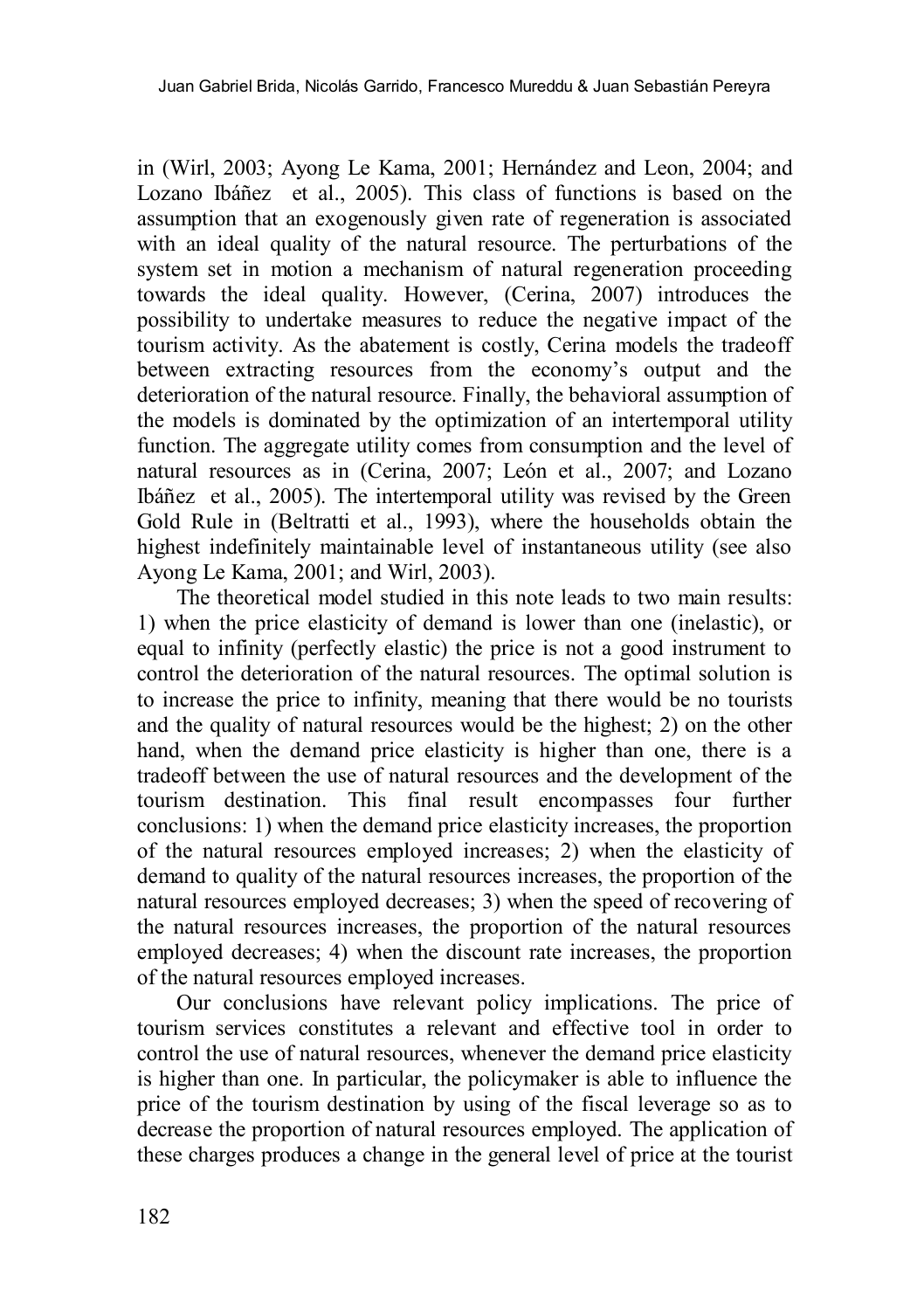in (Wirl, 2003; Ayong Le Kama, 2001; Hernández and Leon, 2004; and Lozano Ibáñez et al., 2005). This class of functions is based on the assumption that an exogenously given rate of regeneration is associated with an ideal quality of the natural resource. The perturbations of the system set in motion a mechanism of natural regeneration proceeding towards the ideal quality. However, (Cerina, 2007) introduces the possibility to undertake measures to reduce the negative impact of the tourism activity. As the abatement is costly, Cerina models the tradeoff between extracting resources from the economy's output and the deterioration of the natural resource. Finally, the behavioral assumption of the models is dominated by the optimization of an intertemporal utility function. The aggregate utility comes from consumption and the level of natural resources as in (Cerina, 2007; León et al., 2007; and Lozano Ibáñez et al., 2005). The intertemporal utility was revised by the Green Gold Rule in (Beltratti et al., 1993), where the households obtain the highest indefinitely maintainable level of instantaneous utility (see also Ayong Le Kama, 2001; and Wirl, 2003).

The theoretical model studied in this note leads to two main results: 1) when the price elasticity of demand is lower than one (inelastic), or equal to infinity (perfectly elastic) the price is not a good instrument to control the deterioration of the natural resources. The optimal solution is to increase the price to infinity, meaning that there would be no tourists and the quality of natural resources would be the highest; 2) on the other hand, when the demand price elasticity is higher than one, there is a tradeoff between the use of natural resources and the development of the tourism destination. This final result encompasses four further conclusions: 1) when the demand price elasticity increases, the proportion of the natural resources employed increases; 2) when the elasticity of demand to quality of the natural resources increases, the proportion of the natural resources employed decreases; 3) when the speed of recovering of the natural resources increases, the proportion of the natural resources employed decreases; 4) when the discount rate increases, the proportion of the natural resources employed increases.

Our conclusions have relevant policy implications. The price of tourism services constitutes a relevant and effective tool in order to control the use of natural resources, whenever the demand price elasticity is higher than one. In particular, the policymaker is able to influence the price of the tourism destination by using of the fiscal leverage so as to decrease the proportion of natural resources employed. The application of these charges produces a change in the general level of price at the tourist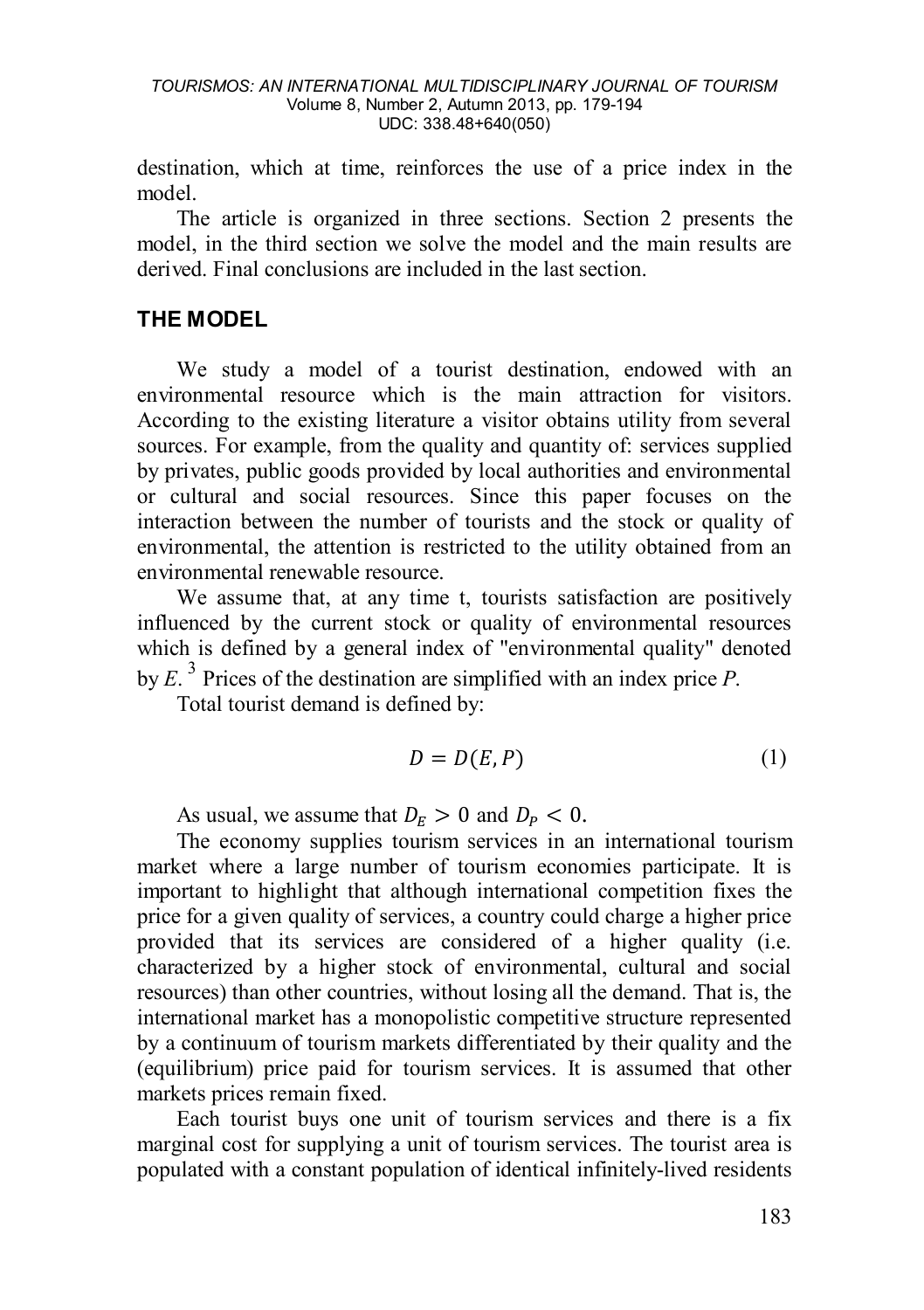destination, which at time, reinforces the use of a price index in the model.

The article is organized in three sections. Section 2 presents the model, in the third section we solve the model and the main results are derived. Final conclusions are included in the last section.

# **THE MODEL**

We study a model of a tourist destination, endowed with an environmental resource which is the main attraction for visitors. According to the existing literature a visitor obtains utility from several sources. For example, from the quality and quantity of: services supplied by privates, public goods provided by local authorities and environmental or cultural and social resources. Since this paper focuses on the interaction between the number of tourists and the stock or quality of environmental, the attention is restricted to the utility obtained from an environmental renewable resource.

We assume that, at any time t, tourists satisfaction are positively influenced by the current stock or quality of environmental resources which is defined by a general index of "environmental quality" denoted by  $E^3$  Prices of the destination are simplified with an index price P.

Total tourist demand is defined by:

$$
D = D(E, P) \tag{1}
$$

As usual, we assume that  $D_F > 0$  and  $D_P < 0$ .

The economy supplies tourism services in an international tourism market where a large number of tourism economies participate. It is important to highlight that although international competition fixes the price for a given quality of services, a country could charge a higher price provided that its services are considered of a higher quality (i.e. characterized by a higher stock of environmental, cultural and social resources) than other countries, without losing all the demand. That is, the international market has a monopolistic competitive structure represented by a continuum of tourism markets differentiated by their quality and the (equilibrium) price paid for tourism services. It is assumed that other markets prices remain fixed.

Each tourist buys one unit of tourism services and there is a fix marginal cost for supplying a unit of tourism services. The tourist area is populated with a constant population of identical infinitely-lived residents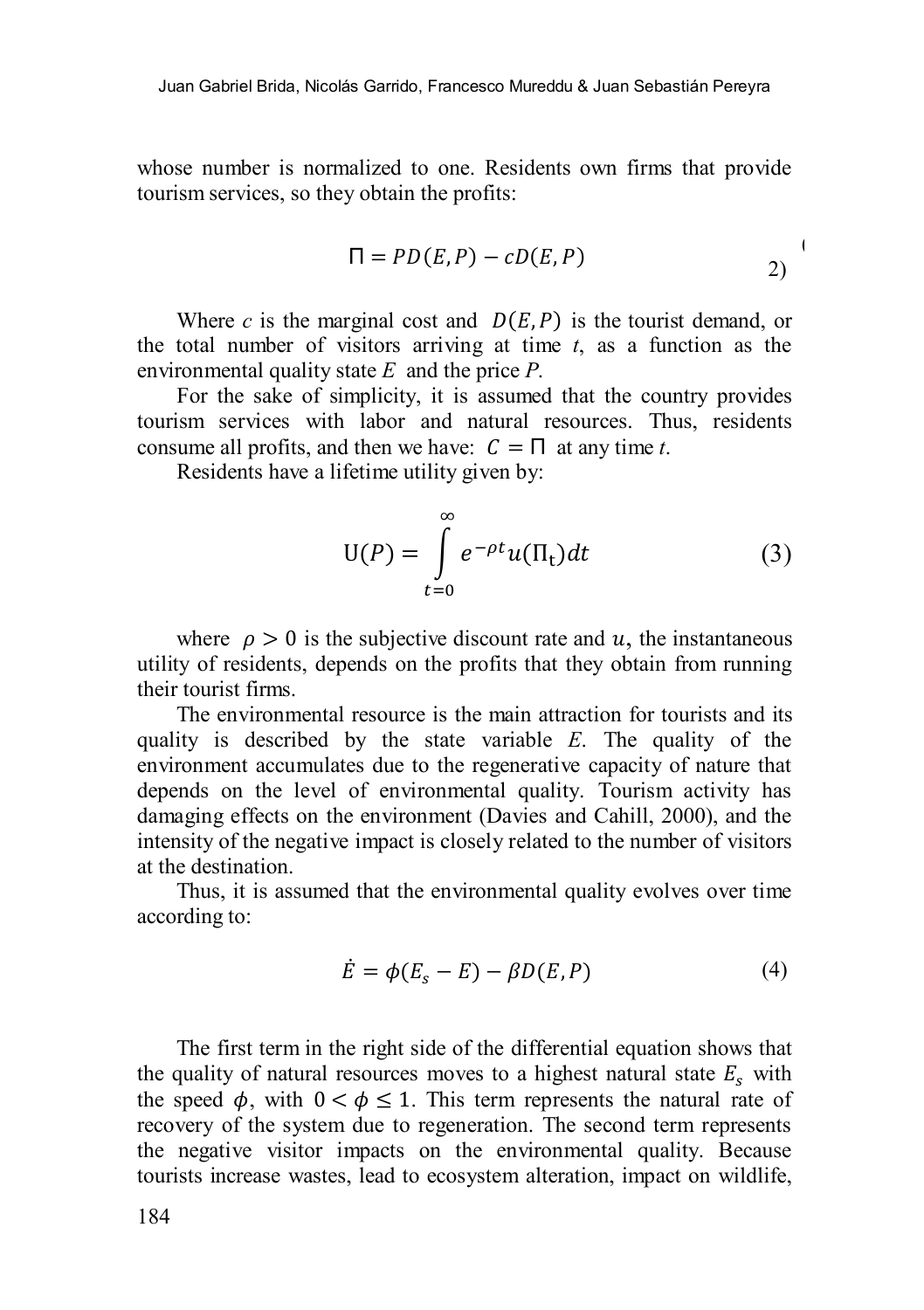whose number is normalized to one. Residents own firms that provide tourism services, so they obtain the profits:

$$
\Pi = PD(E, P) - cD(E, P) \tag{2}
$$

Where *c* is the marginal cost and  $D(E, P)$  is the tourist demand, or the total number of visitors arriving at time *t*, as a function as the environmental quality state *E* and the price *P*.

For the sake of simplicity, it is assumed that the country provides tourism services with labor and natural resources. Thus, residents consume all profits, and then we have:  $C = \Pi$  at any time *t*.

Residents have a lifetime utility given by:

<span id="page-5-0"></span>
$$
U(P) = \int_{t=0}^{\infty} e^{-\rho t} u(\Pi_t) dt
$$
 (3)

where  $\rho > 0$  is the subjective discount rate and u, the instantaneous utility of residents, depends on the profits that they obtain from running their tourist firms.

The environmental resource is the main attraction for tourists and its quality is described by the state variable *E*. The quality of the environment accumulates due to the regenerative capacity of nature that depends on the level of environmental quality. Tourism activity has damaging effects on the environment (Davies and Cahill, 2000), and the intensity of the negative impact is closely related to the number of visitors at the destination.

Thus, it is assumed that the environmental quality evolves over time according to:

<span id="page-5-1"></span>
$$
\dot{E} = \phi(E_s - E) - \beta D(E, P) \tag{4}
$$

The first term in the right side of the differential equation shows that the quality of natural resources moves to a highest natural state  $E_s$  with the speed  $\phi$ , with  $0 < \phi \le 1$ . This term represents the natural rate of recovery of the system due to regeneration. The second term represents the negative visitor impacts on the environmental quality. Because tourists increase wastes, lead to ecosystem alteration, impact on wildlife,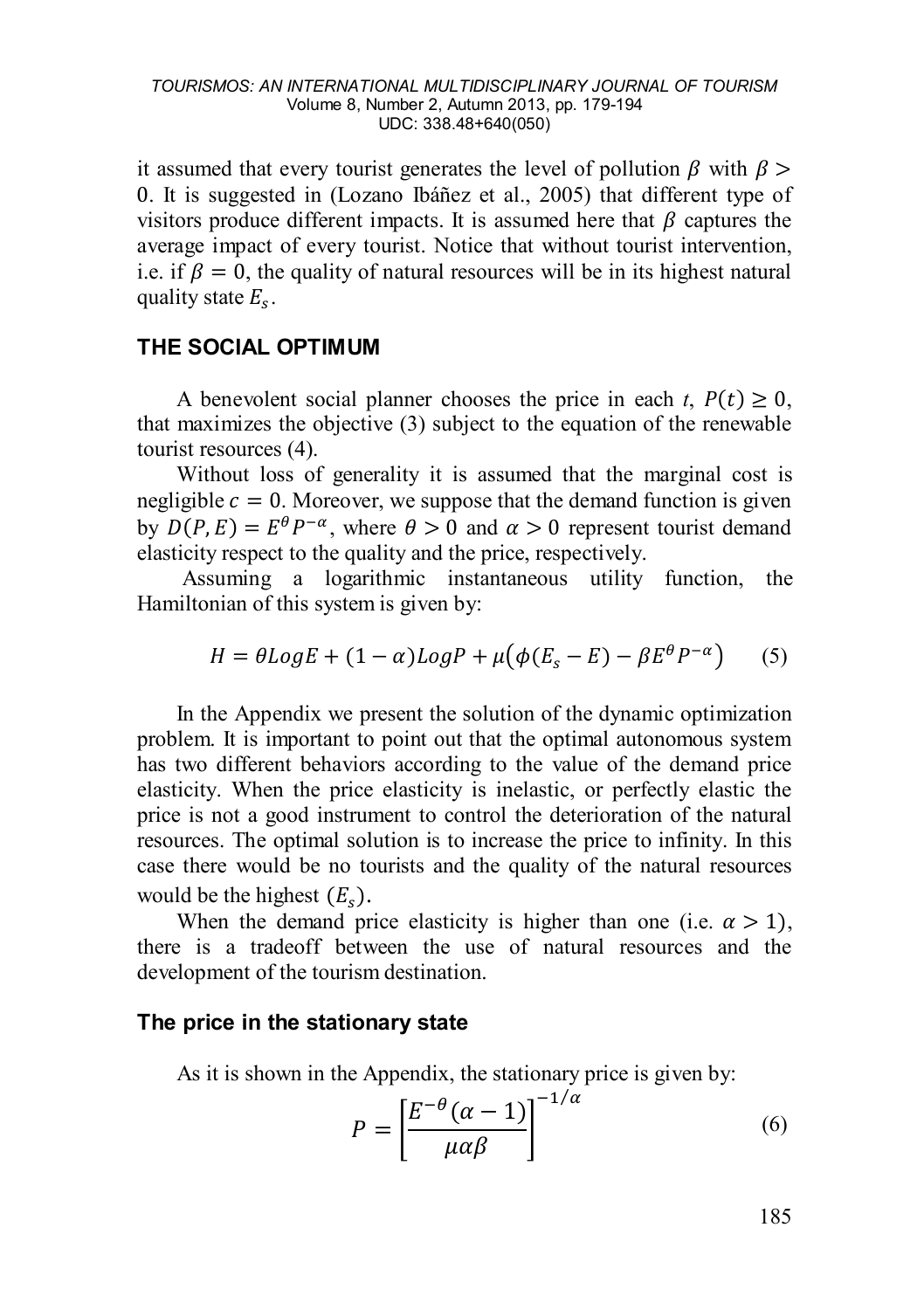it assumed that every tourist generates the level of pollution  $\beta$  with  $\beta$ 0. It is suggested in (Lozano Ibáñez et al., 2005) that different type of visitors produce different impacts. It is assumed here that  $\beta$  captures the average impact of every tourist. Notice that without tourist intervention, i.e. if  $\beta = 0$ , the quality of natural resources will be in its highest natural quality state  $E<sub>s</sub>$ .

### **THE SOCIAL OPTIMUM**

A benevolent social planner chooses the price in each  $t$ ,  $P(t) > 0$ , that maximizes the objective [\(3](#page-5-0)) subject to the equation of the renewable tourist resource[s \(4](#page-5-1)).

Without loss of generality it is assumed that the marginal cost is negligible  $c = 0$ . Moreover, we suppose that the demand function is given by  $D(P, E) = E^{\theta} P^{-\alpha}$ , where  $\theta > 0$  and  $\alpha > 0$  represent tourist demand elasticity respect to the quality and the price, respectively.

Assuming a logarithmic instantaneous utility function, the Hamiltonian of this system is given by:

$$
H = \theta Log E + (1 - \alpha) Log P + \mu (\phi (E_s - E) - \beta E^{\theta} P^{-\alpha})
$$
 (5)

In the Appendix we present the solution of the dynamic optimization problem. It is important to point out that the optimal autonomous system has two different behaviors according to the value of the demand price elasticity. When the price elasticity is inelastic, or perfectly elastic the price is not a good instrument to control the deterioration of the natural resources. The optimal solution is to increase the price to infinity. In this case there would be no tourists and the quality of the natural resources would be the highest  $(E_s)$ .<br>When the demand price elasticity is higher than one (i.e.  $\alpha > 1$ ),

there is a tradeoff between the use of natural resources and the development of the tourism destination.

### **The price in the stationary state**

As it is shown in the Appendix, the stationary price is given by:

$$
P = \left[\frac{E^{-\theta}(\alpha - 1)}{\mu \alpha \beta}\right]^{-1/\alpha} \tag{6}
$$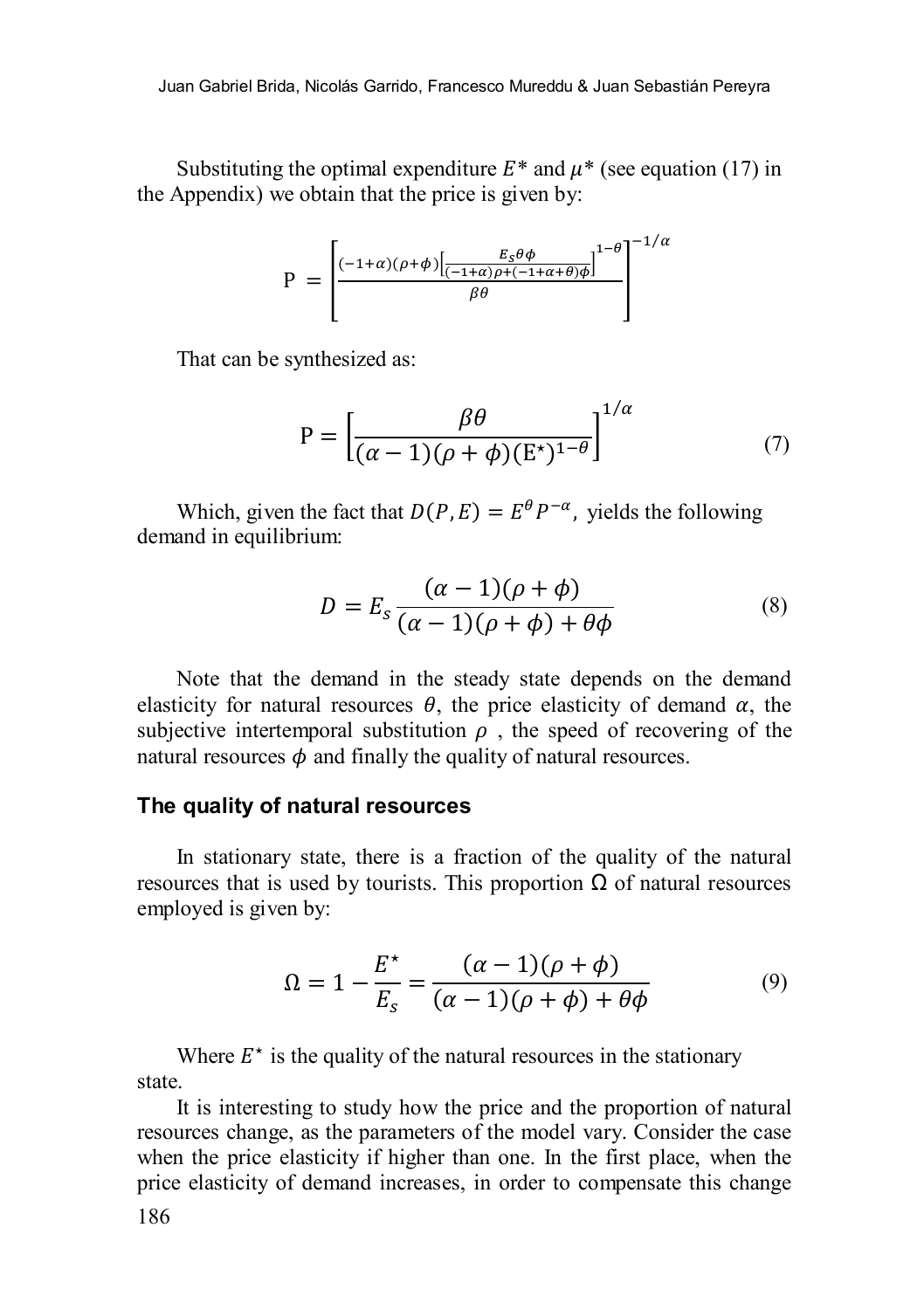Substituting the optimal expenditure  $E^*$  and  $\mu^*$  (see equation (17) in the Appendix) we obtain that the price is given by:

$$
P = \left[\frac{(-1+\alpha)(\rho+\phi)\left[\frac{E_S\theta\phi}{(-1+\alpha)\rho+(-1+\alpha+\theta)\phi}\right]^{1-\theta}}{\beta\theta}\right]^{-1/\alpha}
$$

That can be synthesized as:

$$
P = \left[\frac{\beta \theta}{(\alpha - 1)(\rho + \phi)(E^*)^{1-\theta}}\right]^{1/\alpha} \tag{7}
$$

Which, given the fact that  $D(P, E) = E^{\theta} P^{-\alpha}$ , yields the following demand in equilibrium:

$$
D = E_s \frac{(\alpha - 1)(\rho + \phi)}{(\alpha - 1)(\rho + \phi) + \theta \phi}
$$
 (8)

Note that the demand in the steady state depends on the demand elasticity for natural resources  $\theta$ , the price elasticity of demand  $\alpha$ , the subjective intertemporal substitution  $\rho$ , the speed of recovering of the natural resources  $\phi$  and finally the quality of natural resources.

### **The quality of natural resources**

In stationary state, there is a fraction of the quality of the natural resources that is used by tourists. This proportion  $\Omega$  of natural resources employed is given by:

$$
\Omega = 1 - \frac{E^*}{E_s} = \frac{(\alpha - 1)(\rho + \phi)}{(\alpha - 1)(\rho + \phi) + \theta\phi} \tag{9}
$$

Where  $E^*$  is the quality of the natural resources in the stationary state.

It is interesting to study how the price and the proportion of natural resources change, as the parameters of the model vary. Consider the case when the price elasticity if higher than one. In the first place, when the price elasticity of demand increases, in order to compensate this change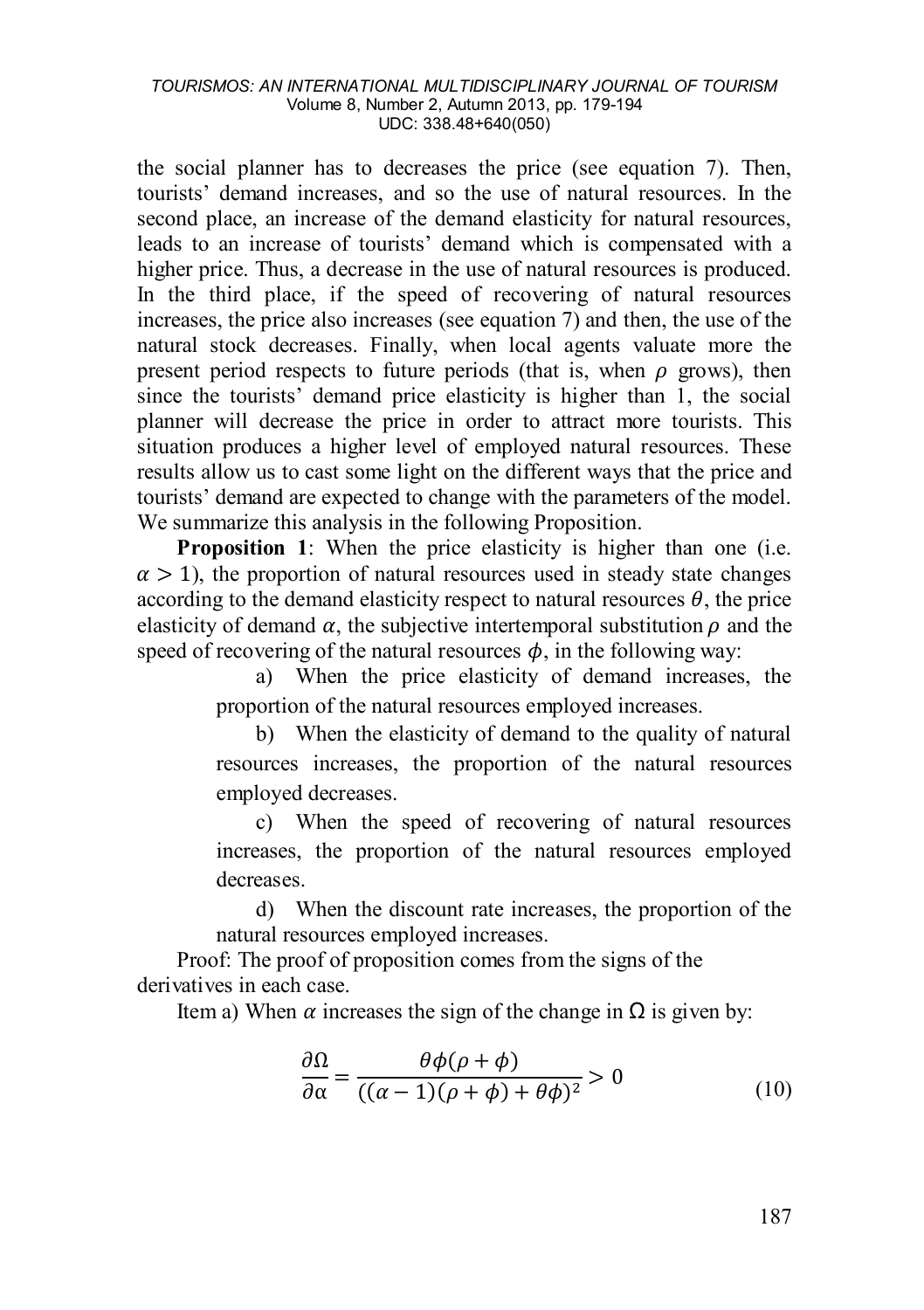the social planner has to decreases the price (see equation 7). Then, tourists' demand increases, and so the use of natural resources. In the second place, an increase of the demand elasticity for natural resources, leads to an increase of tourists' demand which is compensated with a higher price. Thus, a decrease in the use of natural resources is produced. In the third place, if the speed of recovering of natural resources increases, the price also increases (see equation 7) and then, the use of the natural stock decreases. Finally, when local agents valuate more the present period respects to future periods (that is, when  $\rho$  grows), then since the tourists' demand price elasticity is higher than 1, the social planner will decrease the price in order to attract more tourists. This situation produces a higher level of employed natural resources. These results allow us to cast some light on the different ways that the price and tourists' demand are expected to change with the parameters of the model. We summarize this analysis in the following Proposition.

**Proposition 1**: When the price elasticity is higher than one (i.e.  $\alpha > 1$ ), the proportion of natural resources used in steady state changes according to the demand elasticity respect to natural resources  $\theta$ , the price elasticity of demand  $\alpha$ , the subjective intertemporal substitution  $\rho$  and the speed of recovering of the natural resources  $\phi$ , in the following way:

> a) When the price elasticity of demand increases, the proportion of the natural resources employed increases.

> b) When the elasticity of demand to the quality of natural resources increases, the proportion of the natural resources employed decreases.

> c) When the speed of recovering of natural resources increases, the proportion of the natural resources employed decreases.

> d) When the discount rate increases, the proportion of the natural resources employed increases.

Proof: The proof of proposition comes from the signs of the derivatives in each case.

Item a) When  $\alpha$  increases the sign of the change in  $\Omega$  is given by:

$$
\frac{\partial \Omega}{\partial \alpha} = \frac{\theta \phi(\rho + \phi)}{((\alpha - 1)(\rho + \phi) + \theta \phi)^2} > 0
$$
\n(10)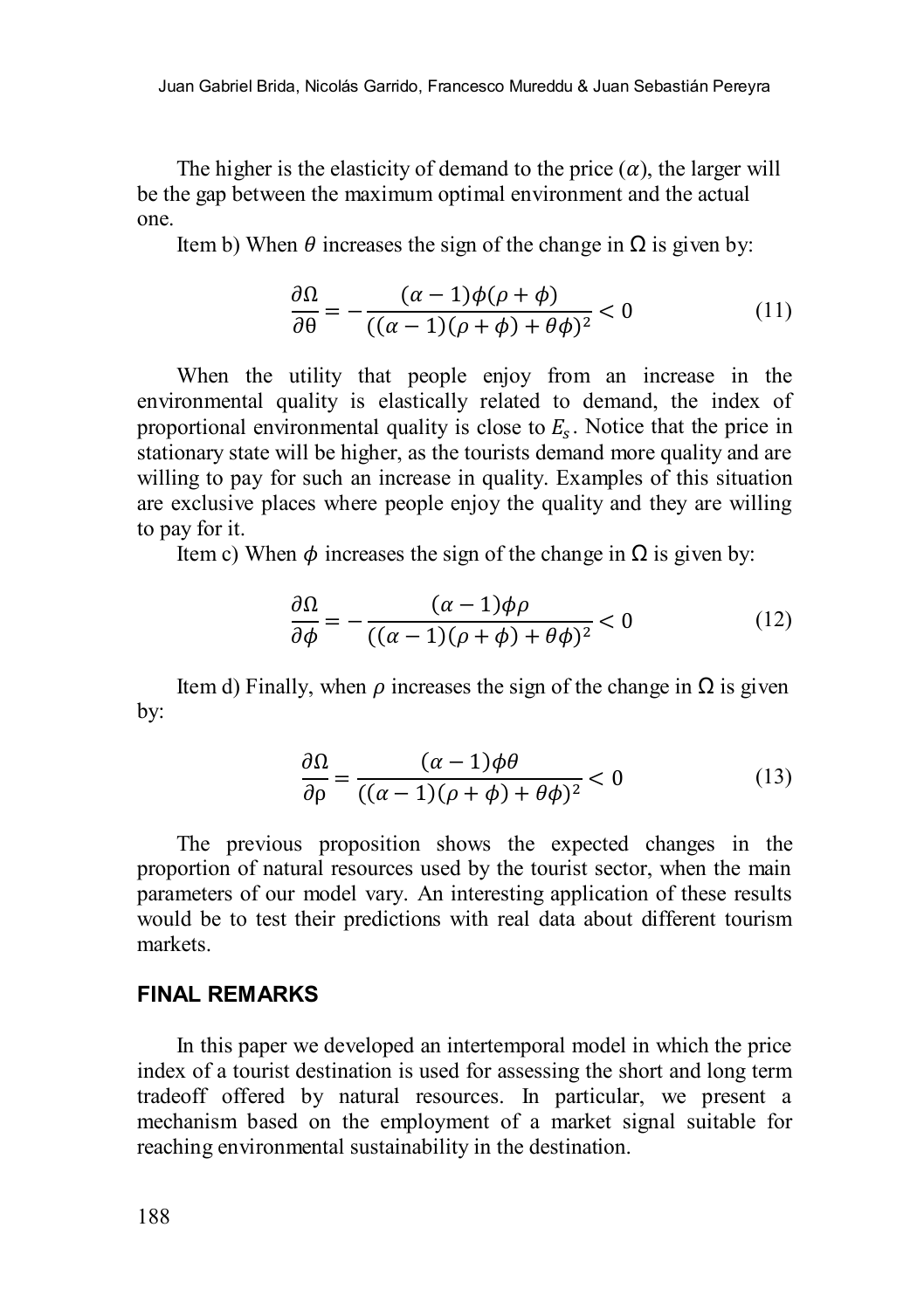The higher is the elasticity of demand to the price  $(\alpha)$ , the larger will be the gap between the maximum optimal environment and the actual one.

Item b) When  $\theta$  increases the sign of the change in  $\Omega$  is given by:

$$
\frac{\partial \Omega}{\partial \theta} = -\frac{(\alpha - 1)\phi(\rho + \phi)}{((\alpha - 1)(\rho + \phi) + \theta \phi)^2} < 0
$$
\n(11)

When the utility that people enjoy from an increase in the environmental quality is elastically related to demand, the index of proportional environmental quality is close to  $E<sub>s</sub>$ . Notice that the price in stationary state will be higher, as the tourists demand more quality and are willing to pay for such an increase in quality. Examples of this situation are exclusive places where people enjoy the quality and they are willing to pay for it.

Item c) When  $\phi$  increases the sign of the change in Ω is given by:

$$
\frac{\partial \Omega}{\partial \phi} = -\frac{(\alpha - 1)\phi\rho}{((\alpha - 1)(\rho + \phi) + \theta\phi)^2} < 0
$$
 (12)

Item d) Finally, when  $\rho$  increases the sign of the change in  $\Omega$  is given by:

$$
\frac{\partial \Omega}{\partial \rho} = \frac{(\alpha - 1)\phi \theta}{((\alpha - 1)(\rho + \phi) + \theta \phi)^2} < 0
$$
\n(13)

The previous proposition shows the expected changes in the proportion of natural resources used by the tourist sector, when the main parameters of our model vary. An interesting application of these results would be to test their predictions with real data about different tourism markets.

### **FINAL REMARKS**

In this paper we developed an intertemporal model in which the price index of a tourist destination is used for assessing the short and long term tradeoff offered by natural resources. In particular, we present a mechanism based on the employment of a market signal suitable for reaching environmental sustainability in the destination.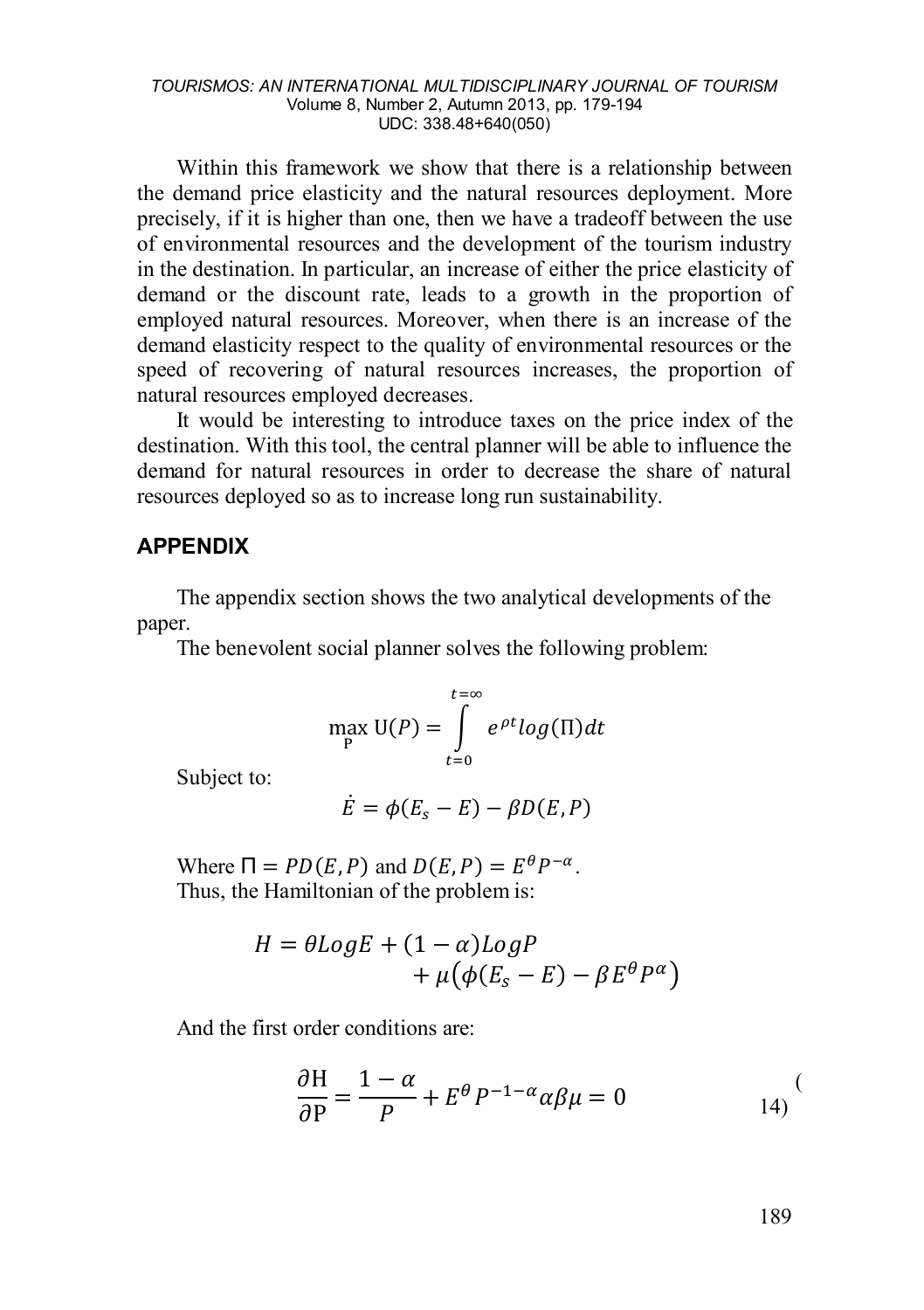Within this framework we show that there is a relationship between the demand price elasticity and the natural resources deployment. More precisely, if it is higher than one, then we have a tradeoff between the use of environmental resources and the development of the tourism industry in the destination. In particular, an increase of either the price elasticity of demand or the discount rate, leads to a growth in the proportion of employed natural resources. Moreover, when there is an increase of the demand elasticity respect to the quality of environmental resources or the speed of recovering of natural resources increases, the proportion of natural resources employed decreases.

It would be interesting to introduce taxes on the price index of the destination. With this tool, the central planner will be able to influence the demand for natural resources in order to decrease the share of natural resources deployed so as to increase long run sustainability.

### **APPENDIX**

The appendix section shows the two analytical developments of the paper.

The benevolent social planner solves the following problem:

$$
\max_{P} U(P) = \int_{t=0}^{t=\infty} e^{\rho t} \log(\Pi) dt
$$

Subject to:

$$
\dot{E} = \phi(E_s - E) - \beta D(E, P)
$$

Where  $\Pi = PD(E, P)$  and  $D(E, P) = E^{\theta} P^{-\alpha}$ . Thus, the Hamiltonian of the problem is:

$$
H = \theta Log E + (1 - \alpha) Log P + \mu (\phi (E_s - E) - \beta E^{\theta} P^{\alpha})
$$

And the first order conditions are:

$$
\frac{\partial H}{\partial P} = \frac{1 - \alpha}{P} + E^{\theta} P^{-1 - \alpha} \alpha \beta \mu = 0
$$
 (14)

<span id="page-10-0"></span>189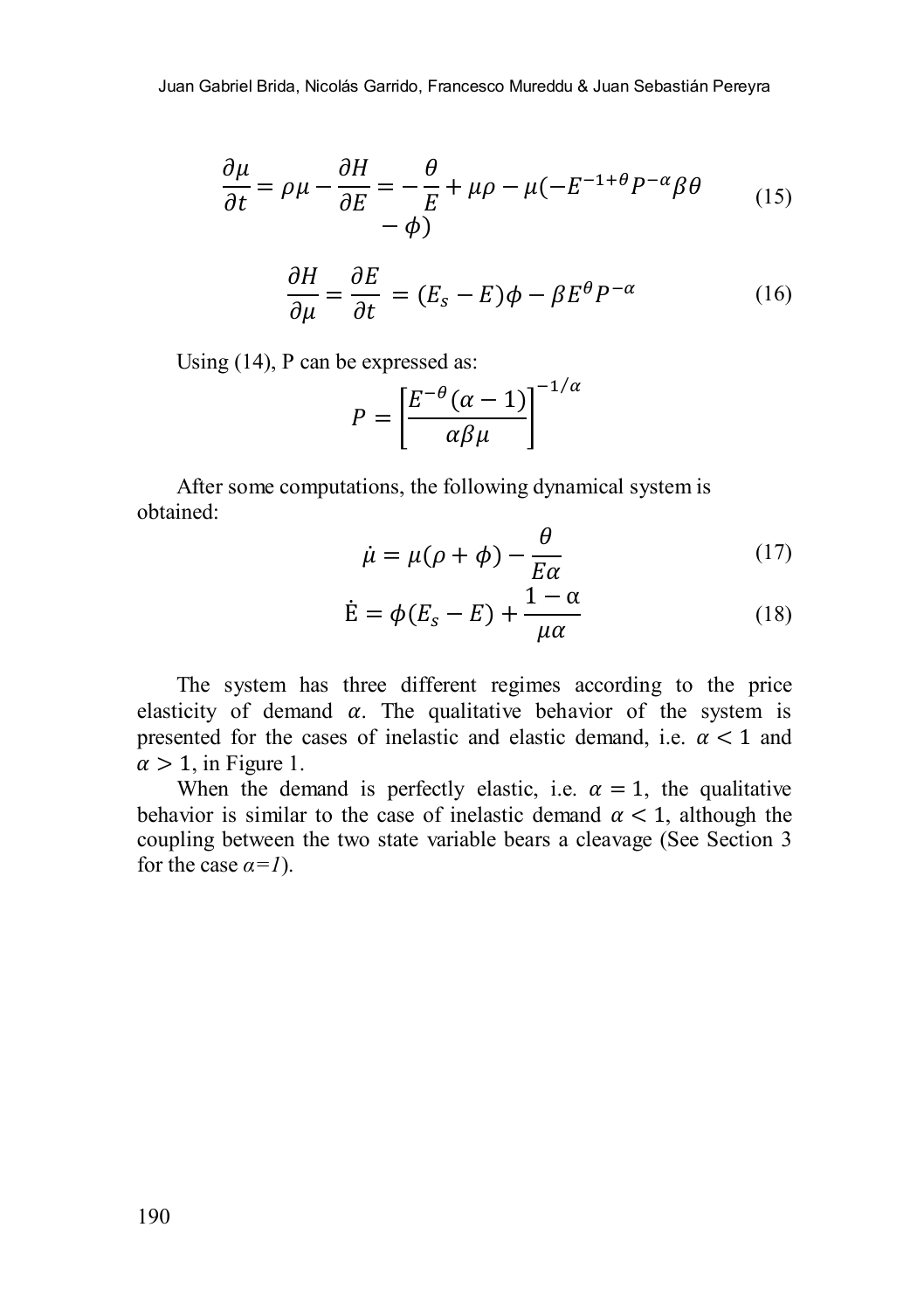$$
\frac{\partial \mu}{\partial t} = \rho \mu - \frac{\partial H}{\partial E} = -\frac{\theta}{E} + \mu \rho - \mu (-E^{-1+\theta} P^{-\alpha} \beta \theta \tag{15}
$$

$$
\frac{\partial H}{\partial \mu} = \frac{\partial E}{\partial t} = (E_s - E)\phi - \beta E^{\theta} P^{-\alpha} \tag{16}
$$

Usin[g \(1](#page-10-0)4), P can be expressed as:

$$
P = \left[\frac{E^{-\theta}(\alpha - 1)}{\alpha \beta \mu}\right]^{-1/\alpha}
$$

After some computations, the following dynamical system is obtained:

$$
\dot{\mu} = \mu(\rho + \phi) - \frac{\theta}{E\alpha} \tag{17}
$$

$$
\dot{\mathbf{E}} = \phi(E_s - E) + \frac{1 - \alpha}{\mu \alpha} \tag{18}
$$

<span id="page-11-0"></span>The system has three different regimes according to the price elasticity of demand  $\alpha$ . The qualitative behavior of the system is presented for the cases of inelastic and elastic demand, i.e.  $\alpha < 1$  and  $\alpha > 1$ , in Figure [1.](#page-11-0)

When the demand is perfectly elastic, i.e.  $\alpha = 1$ , the qualitative behavior is similar to the case of inelastic demand  $\alpha < 1$ , although the coupling between the two state variable bears a cleavage (See Section 3 for the case  $\alpha = 1$ ).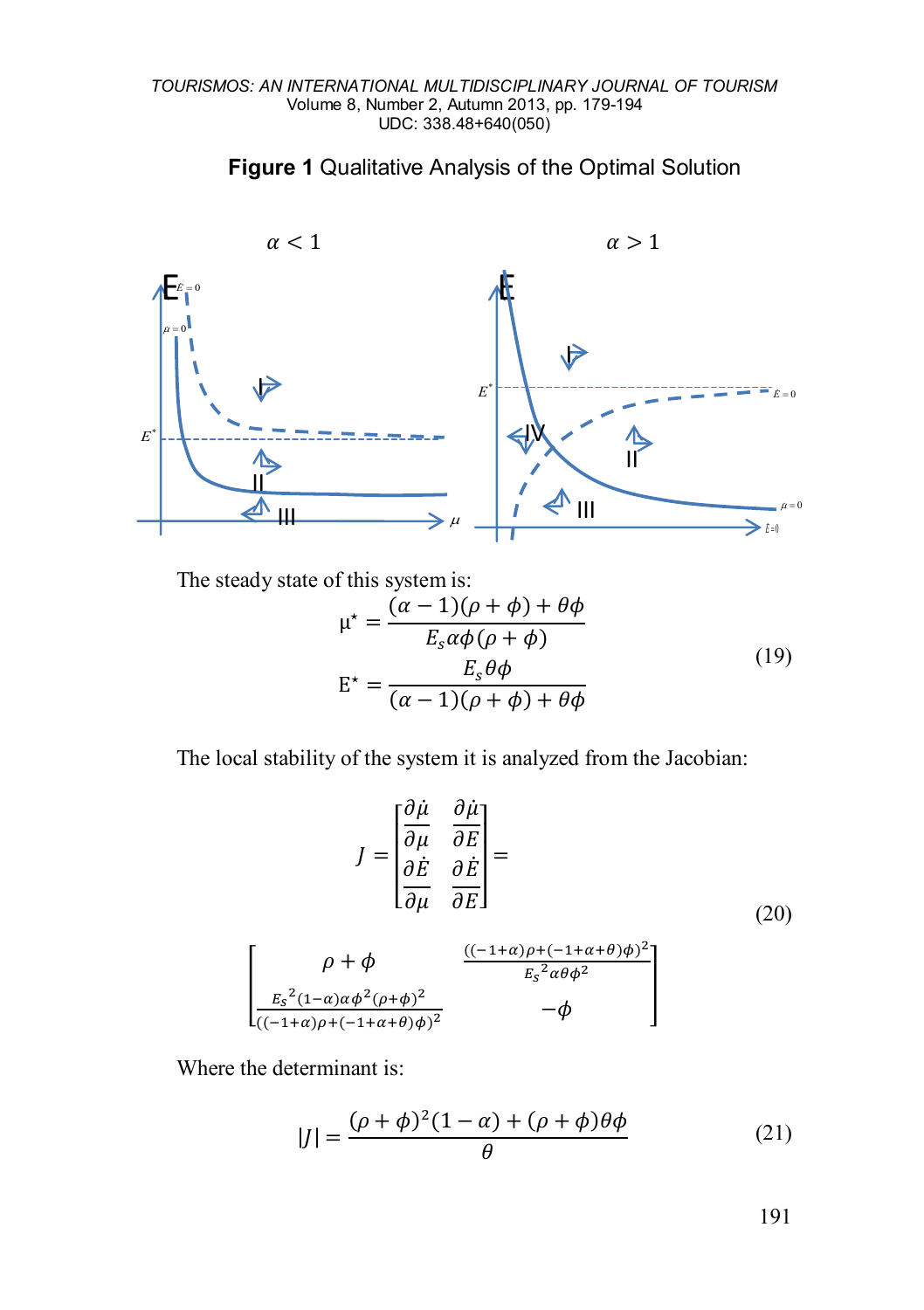



The steady state of this system is:

$$
\mu^* = \frac{(\alpha - 1)(\rho + \phi) + \theta \phi}{E_s \alpha \phi(\rho + \phi)}
$$
  
\n
$$
E^* = \frac{E_s \theta \phi}{(\alpha - 1)(\rho + \phi) + \theta \phi}
$$
 (19)

The local stability of the system it is analyzed from the Jacobian:

$$
J = \begin{bmatrix} \frac{\partial \dot{\mu}}{\partial \mu} & \frac{\partial \dot{\mu}}{\partial E} \\ \frac{\partial \dot{E}}{\partial \mu} & \frac{\partial \dot{E}}{\partial E} \end{bmatrix} = \tag{20}
$$

$$
\begin{bmatrix}\n\rho + \phi & \frac{((-1+\alpha)\rho + (-1+\alpha+\theta)\phi)^2}{E_s^2 \alpha \theta \phi^2} \\
\frac{E_s^2(1-\alpha)\alpha \phi^2 (\rho + \phi)^2}{((-1+\alpha)\rho + (-1+\alpha+\theta)\phi)^2} & -\phi\n\end{bmatrix}
$$

Where the determinant is:

$$
|J| = \frac{(\rho + \phi)^2 (1 - \alpha) + (\rho + \phi)\theta\phi}{\theta}
$$
 (21)

191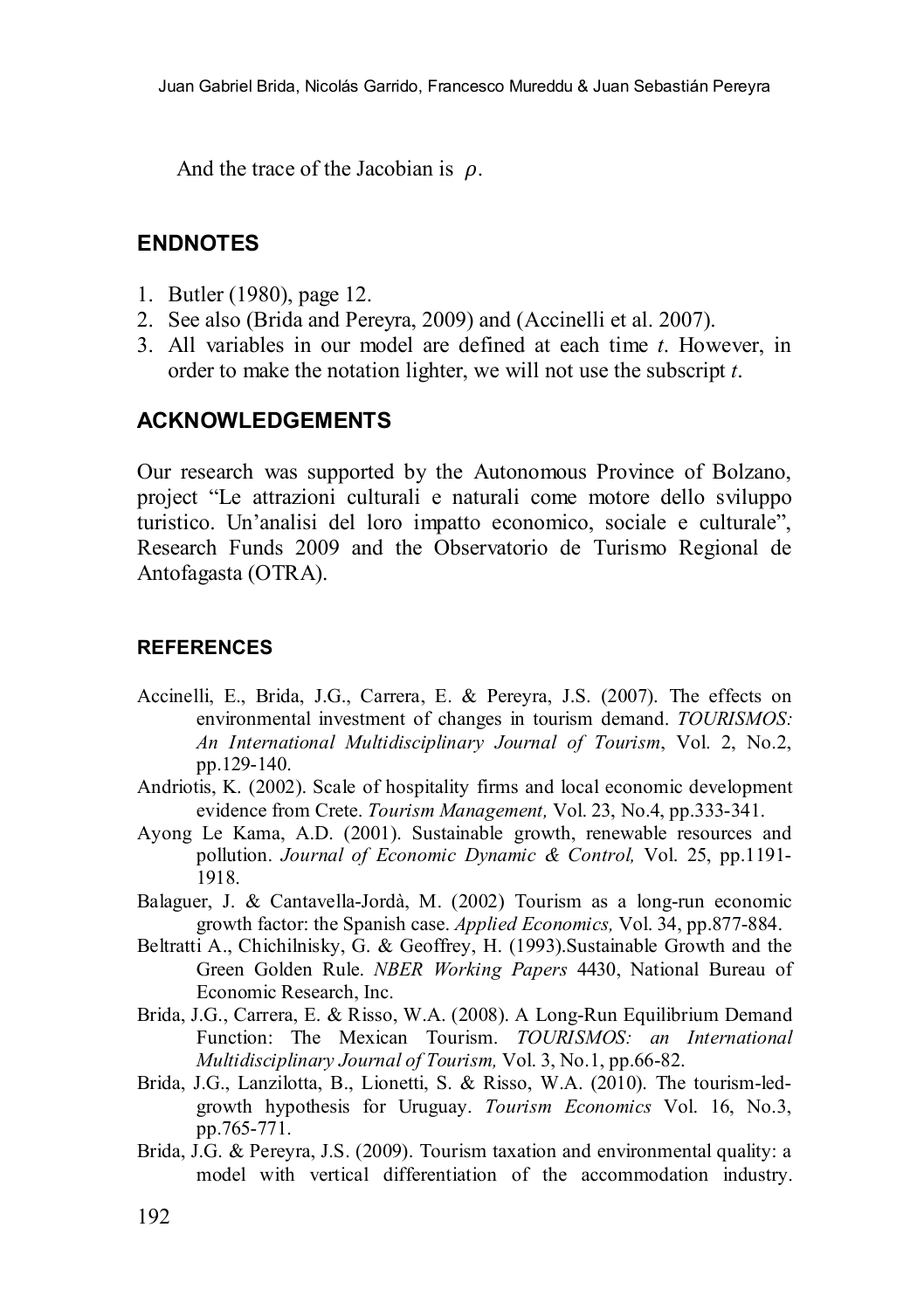And the trace of the Jacobian is  $\rho$ .

# **ENDNOTES**

- 1. Butler (1980), page 12.
- 2. See also (Brida and Pereyra, 2009) and (Accinelli et al. 2007).
- 3. All variables in our model are defined at each time *t*. However, in order to make the notation lighter, we will not use the subscript *t*.

# **ACKNOWLEDGEMENTS**

Our research was supported by the Autonomous Province of Bolzano, project "Le attrazioni culturali e naturali come motore dello sviluppo turistico. Un'analisi del loro impatto economico, sociale e culturale", Research Funds 2009 and the Observatorio de Turismo Regional de Antofagasta (OTRA).

### **REFERENCES**

- Accinelli, E., Brida, J.G., Carrera, E. & Pereyra, J.S. (2007). The effects on environmental investment of changes in tourism demand. *TOURISMOS: An International Multidisciplinary Journal of Tourism*, Vol. 2, No.2, pp.129-140.
- Andriotis, K. (2002). Scale of hospitality firms and local economic development evidence from Crete. *Tourism Management,* Vol. 23, No.4, pp.333-341.
- Ayong Le Kama, A.D. (2001). Sustainable growth, renewable resources and pollution. *Journal of Economic Dynamic & Control,* Vol. 25, pp.1191- 1918.
- Balaguer, J. & Cantavella-Jordà, M. (2002) Tourism as a long-run economic growth factor: the Spanish case. *Applied Economics,* Vol. 34, pp.877-884.
- Beltratti A., Chichilnisky, G. & Geoffrey, H. (1993).Sustainable Growth and the Green Golden Rule. *NBER Working Papers* 4430, National Bureau of Economic Research, Inc.
- Brida, J.G., Carrera, E. & Risso, W.A. (2008). A Long-Run Equilibrium Demand Function: The Mexican Tourism. *TOURISMOS: an International Multidisciplinary Journal of Tourism,* Vol. 3, No.1, pp.66-82.
- Brida, J.G., Lanzilotta, B., Lionetti, S. & Risso, W.A. (2010). The tourism-ledgrowth hypothesis for Uruguay. *Tourism Economics* Vol. 16, No.3, pp.765-771.
- Brida, J.G. & Pereyra, J.S. (2009). Tourism taxation and environmental quality: a model with vertical differentiation of the accommodation industry.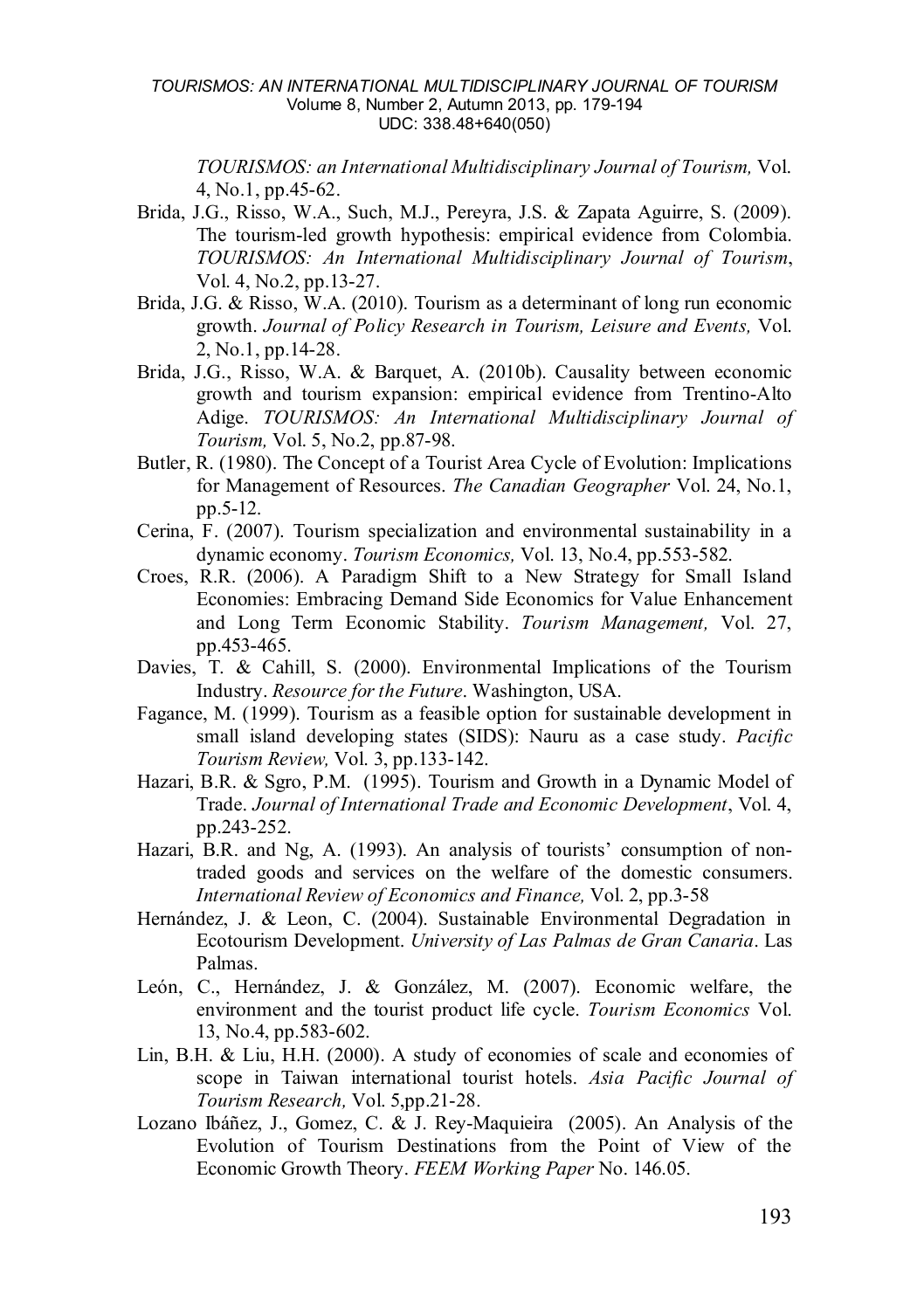*TOURISMOS: an International Multidisciplinary Journal of Tourism,* Vol. 4, No.1, pp.45-62.

- Brida, J.G., Risso, W.A., Such, M.J., Pereyra, J.S. & Zapata Aguirre, S. (2009). The tourism-led growth hypothesis: empirical evidence from Colombia. *TOURISMOS: An International Multidisciplinary Journal of Tourism*, Vol. 4, No.2, pp.13-27.
- Brida, J.G. & Risso, W.A. (2010). Tourism as a determinant of long run economic growth. *Journal of Policy Research in Tourism, Leisure and Events,* Vol. 2, No.1, pp.14-28.
- Brida, J.G., Risso, W.A. & Barquet, A. (2010b). Causality between economic growth and tourism expansion: empirical evidence from Trentino-Alto Adige. *TOURISMOS: An International Multidisciplinary Journal of Tourism,* Vol. 5, No.2, pp.87-98.
- Butler, R. (1980). The Concept of a Tourist Area Cycle of Evolution: Implications for Management of Resources. *The Canadian Geographer* Vol. 24, No.1, pp.5-12.
- Cerina, F. (2007). Tourism specialization and environmental sustainability in a dynamic economy. *Tourism Economics,* Vol. 13, No.4, pp.553-582.
- Croes, R.R. (2006). A Paradigm Shift to a New Strategy for Small Island Economies: Embracing Demand Side Economics for Value Enhancement and Long Term Economic Stability. *Tourism Management,* Vol. 27, pp.453-465.
- Davies, T. & Cahill, S. (2000). Environmental Implications of the Tourism Industry. *Resource for the Future*. Washington, USA.
- Fagance, M. (1999). Tourism as a feasible option for sustainable development in small island developing states (SIDS): Nauru as a case study. *Pacific Tourism Review,* Vol. 3, pp.133-142.
- Hazari, B.R. & Sgro, P.M. (1995). Tourism and Growth in a Dynamic Model of Trade. *Journal of International Trade and Economic Development*, Vol. 4, pp.243-252.
- Hazari, B.R. and Ng, A. (1993). An analysis of tourists' consumption of nontraded goods and services on the welfare of the domestic consumers. *International Review of Economics and Finance,* Vol. 2, pp.3-58
- Hernández, J. & Leon, C. (2004). Sustainable Environmental Degradation in Ecotourism Development. *University of Las Palmas de Gran Canaria*. Las Palmas.
- León, C., Hernández, J. & González, M. (2007). Economic welfare, the environment and the tourist product life cycle. *Tourism Economics* Vol. 13, No.4, pp.583-602.
- Lin, B.H. & Liu, H.H. (2000). A study of economies of scale and economies of scope in Taiwan international tourist hotels. *Asia Pacific Journal of Tourism Research,* Vol. 5,pp.21-28.
- Lozano Ibáñez, J., Gomez, C. & J. Rey-Maquieira (2005). An Analysis of the Evolution of Tourism Destinations from the Point of View of the Economic Growth Theory. *FEEM Working Paper* No. 146.05.